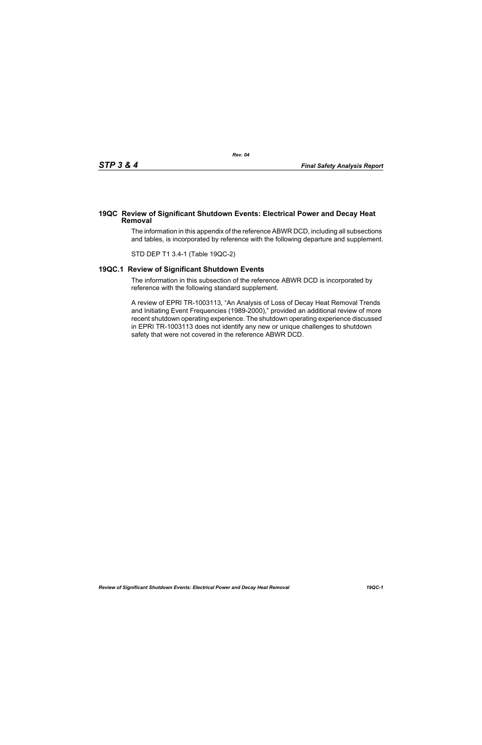## **19QC Review of Significant Shutdown Events: Electrical Power and Decay Heat Removal**

The information in this appendix of the reference ABWR DCD, including all subsections and tables, is incorporated by reference with the following departure and supplement.

STD DEP T1 3.4-1 (Table 19QC-2)

## **19QC.1 Review of Significant Shutdown Events**

The information in this subsection of the reference ABWR DCD is incorporated by reference with the following standard supplement.

A review of EPRI TR-1003113, "An Analysis of Loss of Decay Heat Removal Trends and Initiating Event Frequencies (1989-2000)," provided an additional review of more recent shutdown operating experience. The shutdown operating experience discussed in EPRI TR-1003113 does not identify any new or unique challenges to shutdown safety that were not covered in the reference ABWR DCD.